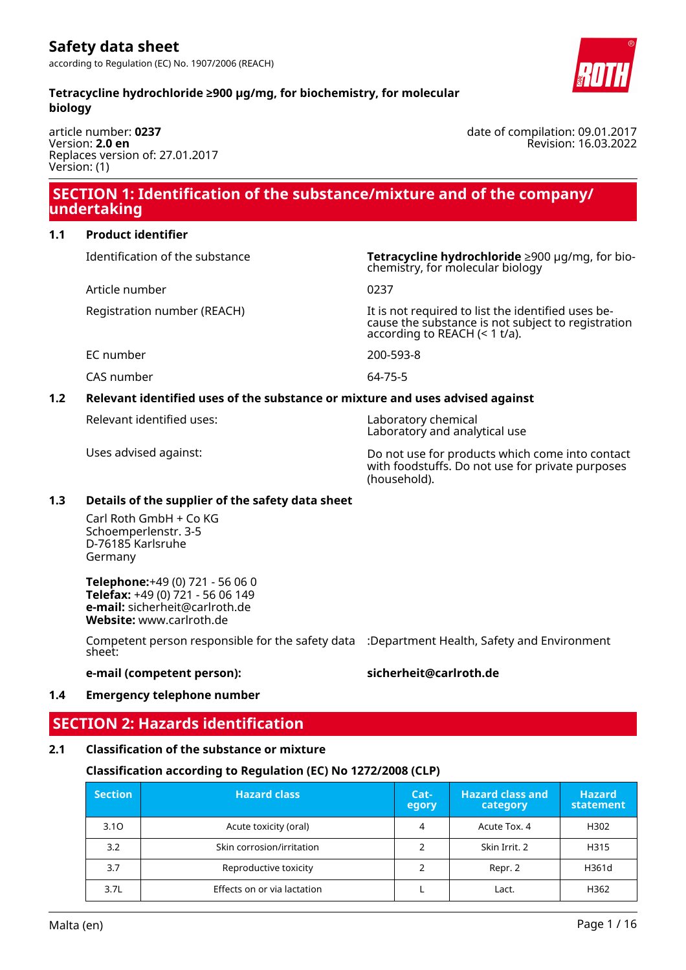#### **Tetracycline hydrochloride ≥900 µg/mg, for biochemistry, for molecular biology**

article number: **0237** Version: **2.0 en** Replaces version of: 27.01.2017 Version: (1)

### **SECTION 1: Identification of the substance/mixture and of the company/ undertaking**

#### **1.1 Product identifier**

Article number 0237

Identification of the substance **Tetracycline hydrochloride** ≥900 µg/mg, for biochemistry, for molecular biology

Registration number (REACH) It is not required to list the identified uses because the substance is not subject to registration according to REACH (< 1 t/a).

EC number 200-593-8

CAS number 64-75-5

### **1.2 Relevant identified uses of the substance or mixture and uses advised against**

Relevant identified uses: Laboratory chemical

Laboratory and analytical use

Uses advised against: Do not use for products which come into contact with foodstuffs. Do not use for private purposes (household).

#### **1.3 Details of the supplier of the safety data sheet**

Carl Roth GmbH + Co KG Schoemperlenstr. 3-5 D-76185 Karlsruhe Germany

**Telephone:**+49 (0) 721 - 56 06 0 **Telefax:** +49 (0) 721 - 56 06 149 **e-mail:** sicherheit@carlroth.de **Website:** www.carlroth.de

Competent person responsible for the safety data :Department Health, Safety and Environment sheet:

#### **e-mail (competent person): sicherheit@carlroth.de**

#### **1.4 Emergency telephone number**

### **SECTION 2: Hazards identification**

#### **2.1 Classification of the substance or mixture**

### **Classification according to Regulation (EC) No 1272/2008 (CLP)**

| <b>Section</b> | <b>Hazard class</b>         | Cat-<br>egory | <b>Hazard class and</b><br>category | <b>Hazard</b><br>statement |
|----------------|-----------------------------|---------------|-------------------------------------|----------------------------|
| 3.10           | Acute toxicity (oral)       | 4             | Acute Tox. 4                        | H302                       |
| 3.2            | Skin corrosion/irritation   |               | Skin Irrit, 2                       | H315                       |
| 3.7            | Reproductive toxicity       |               | Repr. 2                             | H361d                      |
| 3.7L           | Effects on or via lactation |               | Lact.                               | H362                       |

date of compilation: 09.01.2017 Revision: 16.03.2022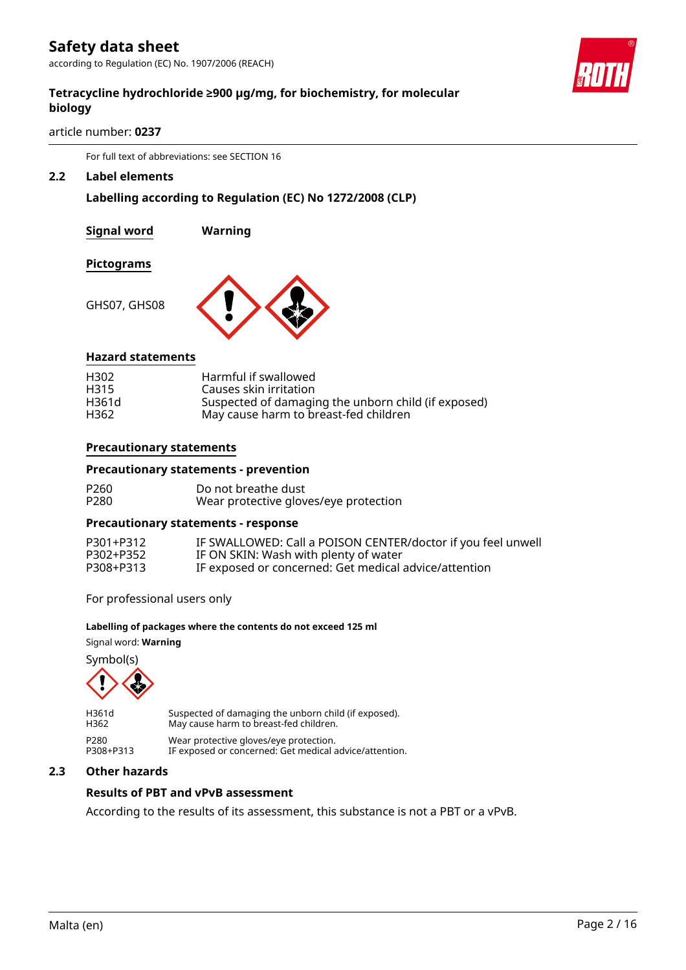according to Regulation (EC) No. 1907/2006 (REACH)

#### **Tetracycline hydrochloride ≥900 µg/mg, for biochemistry, for molecular biology**

article number: **0237**

For full text of abbreviations: see SECTION 16

#### **2.2 Label elements**

#### **Labelling according to Regulation (EC) No 1272/2008 (CLP)**

**Signal word Warning**

**Pictograms**

GHS07, GHS08



#### **Hazard statements**

| H <sub>302</sub> | Harmful if swallowed                                |
|------------------|-----------------------------------------------------|
| H315             | Causes skin irritation                              |
| H361d            | Suspected of damaging the unborn child (if exposed) |
| H362             | May cause harm to breast-fed children               |

#### **Precautionary statements**

#### **Precautionary statements - prevention**

| P260 | Do not breathe dust                   |
|------|---------------------------------------|
| P280 | Wear protective gloves/eye protection |

#### **Precautionary statements - response**

| P301+P312 | IF SWALLOWED: Call a POISON CENTER/doctor if you feel unwell |
|-----------|--------------------------------------------------------------|
| P302+P352 | IF ON SKIN: Wash with plenty of water                        |
| P308+P313 | IF exposed or concerned: Get medical advice/attention        |

For professional users only

#### **Labelling of packages where the contents do not exceed 125 ml**

Signal word: **Warning**

Symbol(s)



H361d Suspected of damaging the unborn child (if exposed).<br>H362 May cause harm to breast-fed children. May cause harm to breast-fed children. P280 Wear protective gloves/eye protection. P308+P313 IF exposed or concerned: Get medical advice/attention.

#### **2.3 Other hazards**

#### **Results of PBT and vPvB assessment**

According to the results of its assessment, this substance is not a PBT or a vPvB.



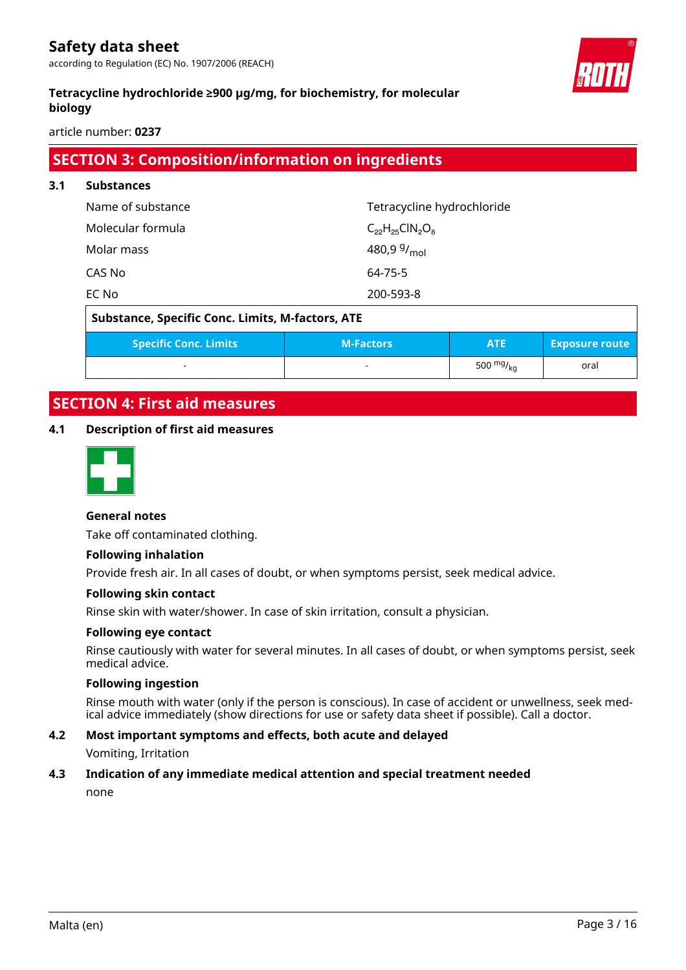according to Regulation (EC) No. 1907/2006 (REACH)



#### **Tetracycline hydrochloride ≥900 µg/mg, for biochemistry, for molecular biology**

article number: **0237**

### **SECTION 3: Composition/information on ingredients**

| 3.1 | <b>Substances</b>                                       |                            |                        |                       |
|-----|---------------------------------------------------------|----------------------------|------------------------|-----------------------|
|     | Name of substance                                       | Tetracycline hydrochloride |                        |                       |
|     | Molecular formula                                       | $C_{22}H_{25}CIN_{2}O_{8}$ |                        |                       |
|     | Molar mass                                              | 480,9 $9/$ <sub>mol</sub>  |                        |                       |
|     | CAS No                                                  | 64-75-5                    |                        |                       |
|     | EC No                                                   | 200-593-8                  |                        |                       |
|     | <b>Substance, Specific Conc. Limits, M-factors, ATE</b> |                            |                        |                       |
|     | <b>Specific Conc. Limits</b>                            | <b>M-Factors</b>           | <b>ATE</b>             | <b>Exposure route</b> |
|     |                                                         |                            | 500 $mg/g_{\text{ka}}$ | oral                  |

## **SECTION 4: First aid measures**

#### **4.1 Description of first aid measures**



#### **General notes**

Take off contaminated clothing.

#### **Following inhalation**

Provide fresh air. In all cases of doubt, or when symptoms persist, seek medical advice.

#### **Following skin contact**

Rinse skin with water/shower. In case of skin irritation, consult a physician.

#### **Following eye contact**

Rinse cautiously with water for several minutes. In all cases of doubt, or when symptoms persist, seek medical advice.

#### **Following ingestion**

Rinse mouth with water (only if the person is conscious). In case of accident or unwellness, seek medical advice immediately (show directions for use or safety data sheet if possible). Call a doctor.

#### **4.2 Most important symptoms and effects, both acute and delayed**

Vomiting, Irritation

# **4.3 Indication of any immediate medical attention and special treatment needed**

none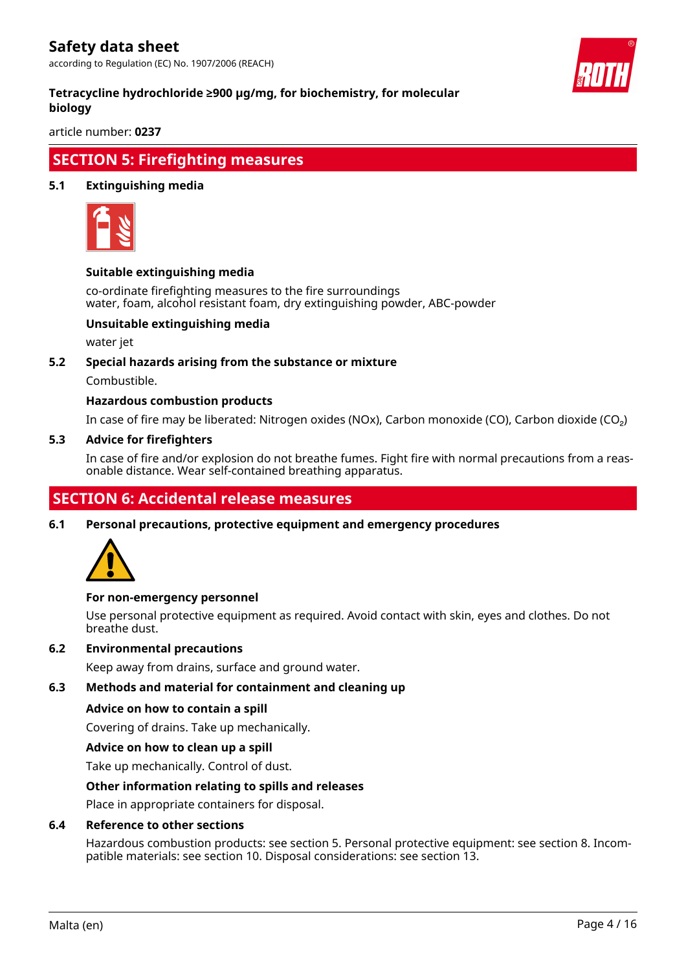according to Regulation (EC) No. 1907/2006 (REACH)



#### **Tetracycline hydrochloride ≥900 µg/mg, for biochemistry, for molecular biology**

article number: **0237**

### **SECTION 5: Firefighting measures**

#### **5.1 Extinguishing media**



#### **Suitable extinguishing media**

co-ordinate firefighting measures to the fire surroundings water, foam, alcohol resistant foam, dry extinguishing powder, ABC-powder

#### **Unsuitable extinguishing media**

water jet

#### **5.2 Special hazards arising from the substance or mixture**

Combustible.

#### **Hazardous combustion products**

In case of fire may be liberated: Nitrogen oxides (NOx), Carbon monoxide (CO), Carbon dioxide (CO₂)

#### **5.3 Advice for firefighters**

In case of fire and/or explosion do not breathe fumes. Fight fire with normal precautions from a reasonable distance. Wear self-contained breathing apparatus.

### **SECTION 6: Accidental release measures**

**6.1 Personal precautions, protective equipment and emergency procedures**



#### **For non-emergency personnel**

Use personal protective equipment as required. Avoid contact with skin, eyes and clothes. Do not breathe dust.

#### **6.2 Environmental precautions**

Keep away from drains, surface and ground water.

#### **6.3 Methods and material for containment and cleaning up**

#### **Advice on how to contain a spill**

Covering of drains. Take up mechanically.

#### **Advice on how to clean up a spill**

Take up mechanically. Control of dust.

#### **Other information relating to spills and releases**

Place in appropriate containers for disposal.

#### **6.4 Reference to other sections**

Hazardous combustion products: see section 5. Personal protective equipment: see section 8. Incompatible materials: see section 10. Disposal considerations: see section 13.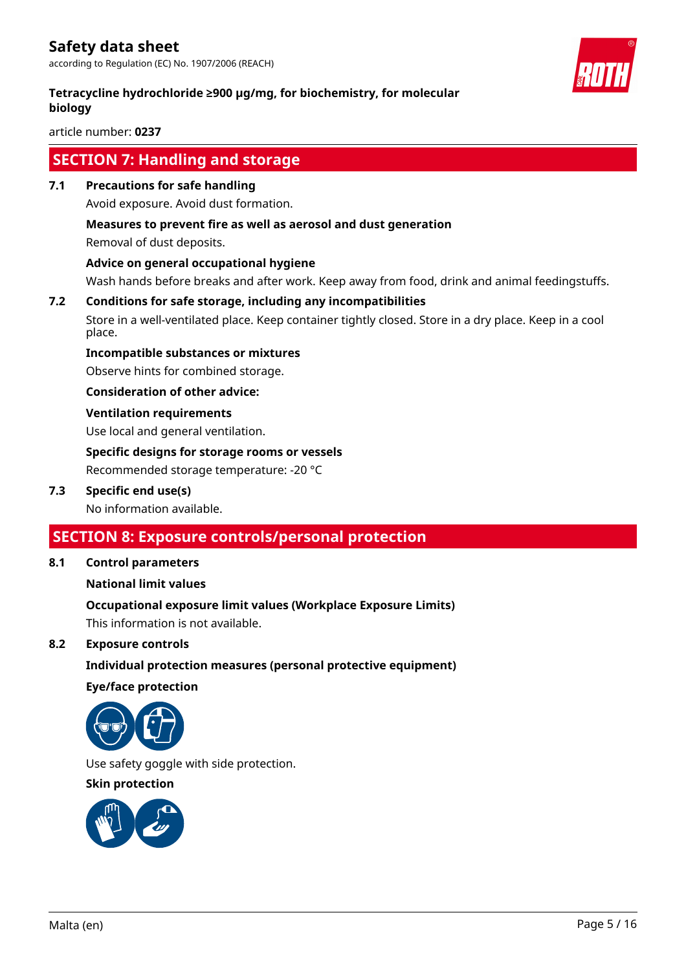according to Regulation (EC) No. 1907/2006 (REACH)

#### **Tetracycline hydrochloride ≥900 µg/mg, for biochemistry, for molecular biology**

article number: **0237**

### **SECTION 7: Handling and storage**

**7.1 Precautions for safe handling**

Avoid exposure. Avoid dust formation.

#### **Measures to prevent fire as well as aerosol and dust generation**

Removal of dust deposits.

#### **Advice on general occupational hygiene**

Wash hands before breaks and after work. Keep away from food, drink and animal feedingstuffs.

### **7.2 Conditions for safe storage, including any incompatibilities**

Store in a well-ventilated place. Keep container tightly closed. Store in a dry place. Keep in a cool place.

#### **Incompatible substances or mixtures**

Observe hints for combined storage.

**Consideration of other advice:**

#### **Ventilation requirements**

Use local and general ventilation.

### **Specific designs for storage rooms or vessels**

Recommended storage temperature: -20 °C

#### **7.3 Specific end use(s)**

No information available.

### **SECTION 8: Exposure controls/personal protection**

#### **8.1 Control parameters**

#### **National limit values**

#### **Occupational exposure limit values (Workplace Exposure Limits)**

This information is not available.

#### **8.2 Exposure controls**

#### **Individual protection measures (personal protective equipment)**

#### **Eye/face protection**



Use safety goggle with side protection.

#### **Skin protection**



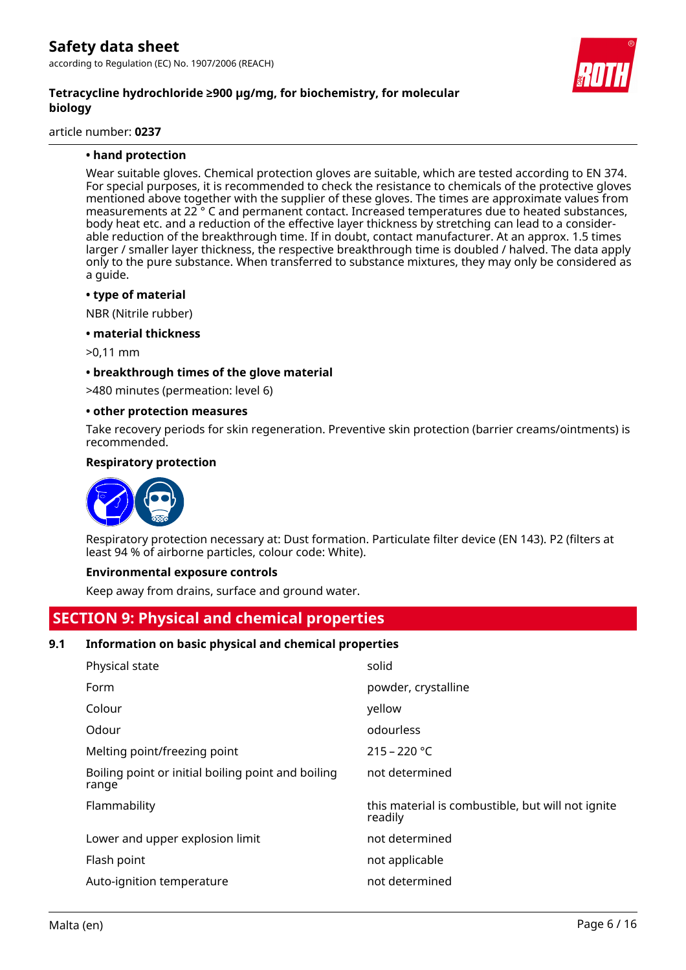

article number: **0237**

#### **• hand protection**

Wear suitable gloves. Chemical protection gloves are suitable, which are tested according to EN 374. For special purposes, it is recommended to check the resistance to chemicals of the protective gloves mentioned above together with the supplier of these gloves. The times are approximate values from measurements at 22 ° C and permanent contact. Increased temperatures due to heated substances, body heat etc. and a reduction of the effective layer thickness by stretching can lead to a considerable reduction of the breakthrough time. If in doubt, contact manufacturer. At an approx. 1.5 times larger / smaller layer thickness, the respective breakthrough time is doubled / halved. The data apply only to the pure substance. When transferred to substance mixtures, they may only be considered as a guide.

#### **• type of material**

NBR (Nitrile rubber)

**• material thickness**

>0,11 mm

#### **• breakthrough times of the glove material**

>480 minutes (permeation: level 6)

#### **• other protection measures**

Take recovery periods for skin regeneration. Preventive skin protection (barrier creams/ointments) is recommended.

#### **Respiratory protection**



Respiratory protection necessary at: Dust formation. Particulate filter device (EN 143). P2 (filters at least 94 % of airborne particles, colour code: White).

#### **Environmental exposure controls**

Keep away from drains, surface and ground water.

# **SECTION 9: Physical and chemical properties**

#### **9.1 Information on basic physical and chemical properties**

| Physical state                                              | solid                                                        |
|-------------------------------------------------------------|--------------------------------------------------------------|
| Form                                                        | powder, crystalline                                          |
| Colour                                                      | yellow                                                       |
| Odour                                                       | odourless                                                    |
| Melting point/freezing point                                | $215 - 220$ °C                                               |
| Boiling point or initial boiling point and boiling<br>range | not determined                                               |
| Flammability                                                | this material is combustible, but will not ignite<br>readily |
| Lower and upper explosion limit                             | not determined                                               |
| Flash point                                                 | not applicable                                               |
| Auto-ignition temperature                                   | not determined                                               |

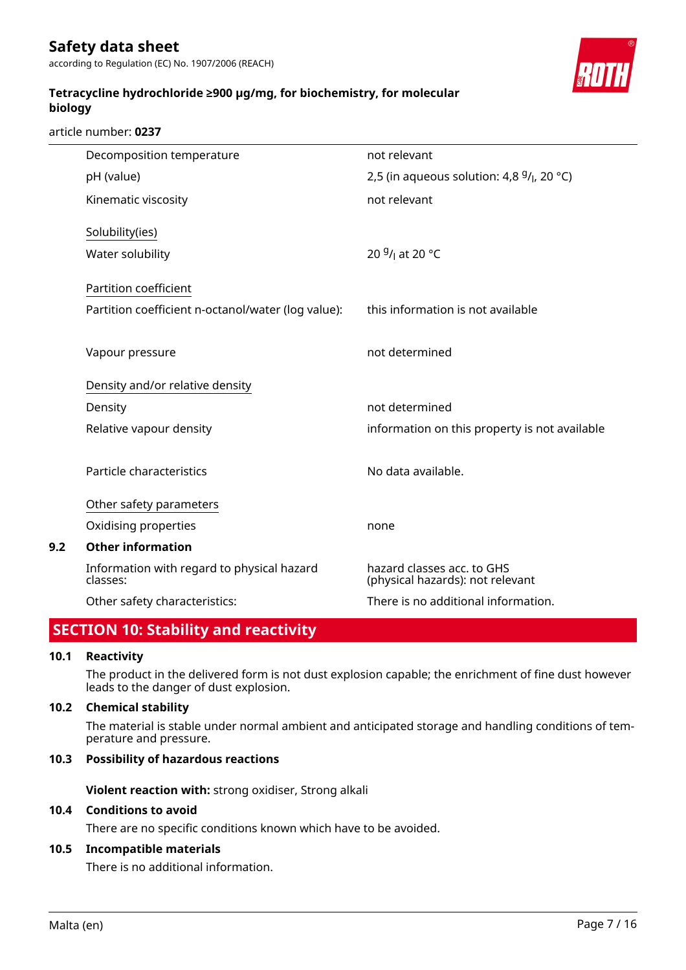**Tetracycline hydrochloride ≥900 µg/mg, for biochemistry, for molecular biology**

article number: **0237**

|     | Decomposition temperature                              | not relevant                                                   |
|-----|--------------------------------------------------------|----------------------------------------------------------------|
|     | pH (value)                                             | 2,5 (in aqueous solution: 4,8 $9/$ , 20 °C)                    |
|     | Kinematic viscosity                                    | not relevant                                                   |
|     | Solubility(ies)                                        |                                                                |
|     | Water solubility                                       | 20 $9/1$ at 20 °C                                              |
|     | Partition coefficient                                  |                                                                |
|     | Partition coefficient n-octanol/water (log value):     | this information is not available                              |
|     | Vapour pressure                                        | not determined                                                 |
|     | Density and/or relative density                        |                                                                |
|     | Density                                                | not determined                                                 |
|     | Relative vapour density                                | information on this property is not available                  |
|     | Particle characteristics                               | No data available.                                             |
|     | Other safety parameters                                |                                                                |
|     | Oxidising properties                                   | none                                                           |
| 9.2 | <b>Other information</b>                               |                                                                |
|     | Information with regard to physical hazard<br>classes: | hazard classes acc. to GHS<br>(physical hazards): not relevant |
|     | Other safety characteristics:                          | There is no additional information.                            |
|     |                                                        |                                                                |

### **SECTION 10: Stability and reactivity**

#### **10.1 Reactivity**

The product in the delivered form is not dust explosion capable; the enrichment of fine dust however leads to the danger of dust explosion.

#### **10.2 Chemical stability**

The material is stable under normal ambient and anticipated storage and handling conditions of temperature and pressure.

#### **10.3 Possibility of hazardous reactions**

**Violent reaction with:** strong oxidiser, Strong alkali

#### **10.4 Conditions to avoid**

There are no specific conditions known which have to be avoided.

#### **10.5 Incompatible materials**

There is no additional information.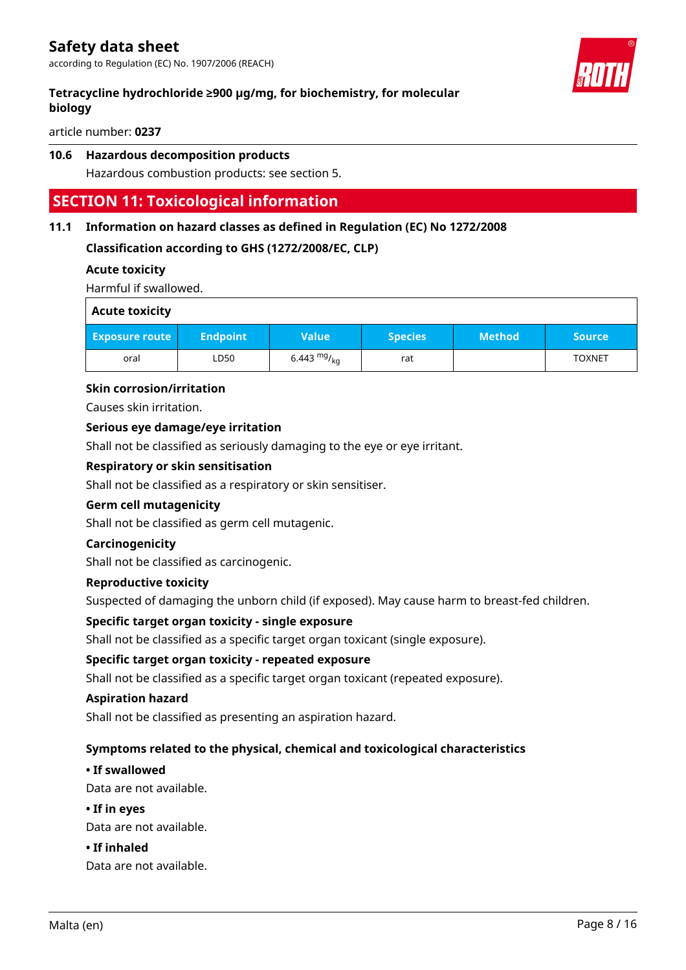### **Tetracycline hydrochloride ≥900 µg/mg, for biochemistry, for molecular biology**

article number: **0237**

#### **10.6 Hazardous decomposition products**

Hazardous combustion products: see section 5.

### **SECTION 11: Toxicological information**

#### **11.1 Information on hazard classes as defined in Regulation (EC) No 1272/2008**

#### **Classification according to GHS (1272/2008/EC, CLP)**

#### **Acute toxicity**

Harmful if swallowed.

| <b>Acute toxicity</b> |                 |               |                |               |               |
|-----------------------|-----------------|---------------|----------------|---------------|---------------|
| <b>Exposure route</b> | <b>Endpoint</b> | <b>Value</b>  | <b>Species</b> | <b>Method</b> | <b>Source</b> |
| oral                  | LD50            | 6.443 $mg/kq$ | rat            |               | <b>TOXNET</b> |

#### **Skin corrosion/irritation**

Causes skin irritation.

#### **Serious eye damage/eye irritation**

Shall not be classified as seriously damaging to the eye or eye irritant.

#### **Respiratory or skin sensitisation**

Shall not be classified as a respiratory or skin sensitiser.

#### **Germ cell mutagenicity**

Shall not be classified as germ cell mutagenic.

#### **Carcinogenicity**

Shall not be classified as carcinogenic.

#### **Reproductive toxicity**

Suspected of damaging the unborn child (if exposed). May cause harm to breast-fed children.

#### **Specific target organ toxicity - single exposure**

Shall not be classified as a specific target organ toxicant (single exposure).

#### **Specific target organ toxicity - repeated exposure**

Shall not be classified as a specific target organ toxicant (repeated exposure).

#### **Aspiration hazard**

Shall not be classified as presenting an aspiration hazard.

#### **Symptoms related to the physical, chemical and toxicological characteristics**

#### **• If swallowed**

Data are not available.

#### **• If in eyes**

Data are not available.

#### **• If inhaled**

Data are not available.

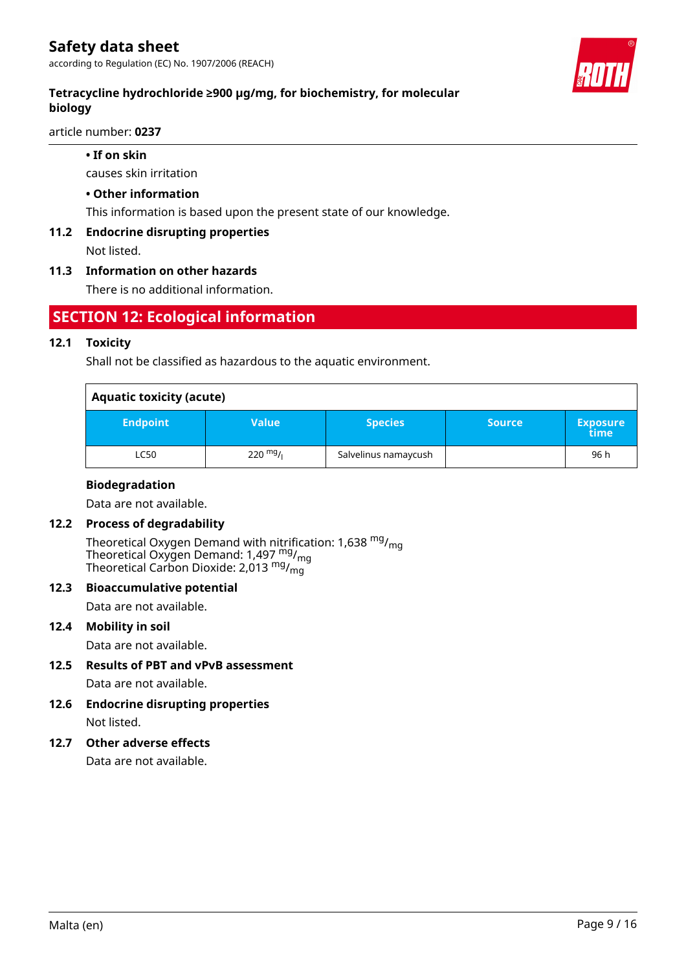according to Regulation (EC) No. 1907/2006 (REACH)

### **Tetracycline hydrochloride ≥900 µg/mg, for biochemistry, for molecular biology**

article number: **0237**

#### **• If on skin**

causes skin irritation

#### **• Other information**

This information is based upon the present state of our knowledge.

#### **11.2 Endocrine disrupting properties**

Not listed.

#### **11.3 Information on other hazards**

There is no additional information.

### **SECTION 12: Ecological information**

#### **12.1 Toxicity**

Shall not be classified as hazardous to the aquatic environment.

| <b>Aquatic toxicity (acute)</b> |                    |                      |               |                          |  |  |
|---------------------------------|--------------------|----------------------|---------------|--------------------------|--|--|
| <b>Endpoint</b>                 | Value              | <b>Species</b>       | <b>Source</b> | <b>Exposure</b><br>\time |  |  |
| LC50                            | $220 \frac{mg}{l}$ | Salvelinus namaycush |               | 96 h                     |  |  |

#### **Biodegradation**

Data are not available.

#### **12.2 Process of degradability**

Theoretical Oxygen Demand with nitrification: 1,638  $mg/m<sub>on</sub>$ Theoretical Oxygen Demand: 1,497 mg/mg Theoretical Carbon Dioxide: 2,013  $mg/m<sub>0</sub>$ 

#### **12.3 Bioaccumulative potential**

Data are not available.

#### **12.4 Mobility in soil**

Data are not available.

- **12.5 Results of PBT and vPvB assessment** Data are not available.
- **12.6 Endocrine disrupting properties** Not listed.

#### **12.7 Other adverse effects**

Data are not available.

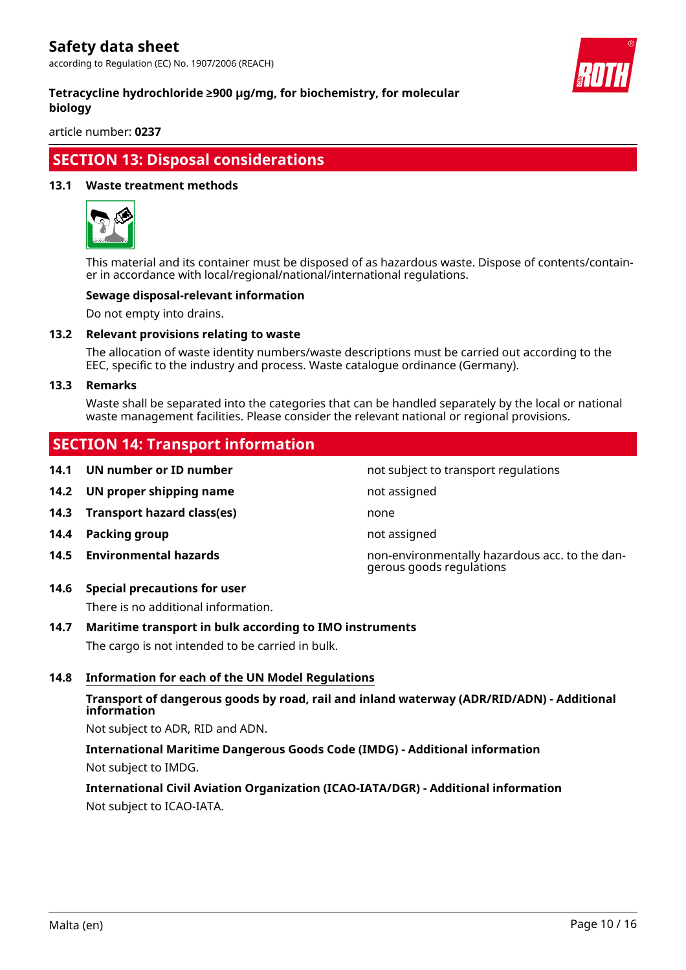according to Regulation (EC) No. 1907/2006 (REACH)



#### **Tetracycline hydrochloride ≥900 µg/mg, for biochemistry, for molecular biology**

article number: **0237**

### **SECTION 13: Disposal considerations**

#### **13.1 Waste treatment methods**



This material and its container must be disposed of as hazardous waste. Dispose of contents/container in accordance with local/regional/national/international regulations.

#### **Sewage disposal-relevant information**

Do not empty into drains.

#### **13.2 Relevant provisions relating to waste**

The allocation of waste identity numbers/waste descriptions must be carried out according to the EEC, specific to the industry and process. Waste catalogue ordinance (Germany).

#### **13.3 Remarks**

Waste shall be separated into the categories that can be handled separately by the local or national waste management facilities. Please consider the relevant national or regional provisions.

### **SECTION 14: Transport information**

- **14.1 UN number or ID number not subject to transport regulations**
- **14.2 UN proper shipping name** not assigned
- **14.3 Transport hazard class(es)** none
- **14.4 Packing group not assigned**
- 
- **14.6 Special precautions for user**

There is no additional information.

# **14.7 Maritime transport in bulk according to IMO instruments**

The cargo is not intended to be carried in bulk.

#### **14.8 Information for each of the UN Model Regulations**

#### **Transport of dangerous goods by road, rail and inland waterway (ADR/RID/ADN) - Additional information**

Not subject to ADR, RID and ADN.

**International Maritime Dangerous Goods Code (IMDG) - Additional information** Not subject to IMDG.

**International Civil Aviation Organization (ICAO-IATA/DGR) - Additional information** Not subject to ICAO-IATA.

**14.5 Environmental hazards** non-environmentally hazardous acc. to the dangerous goods regulations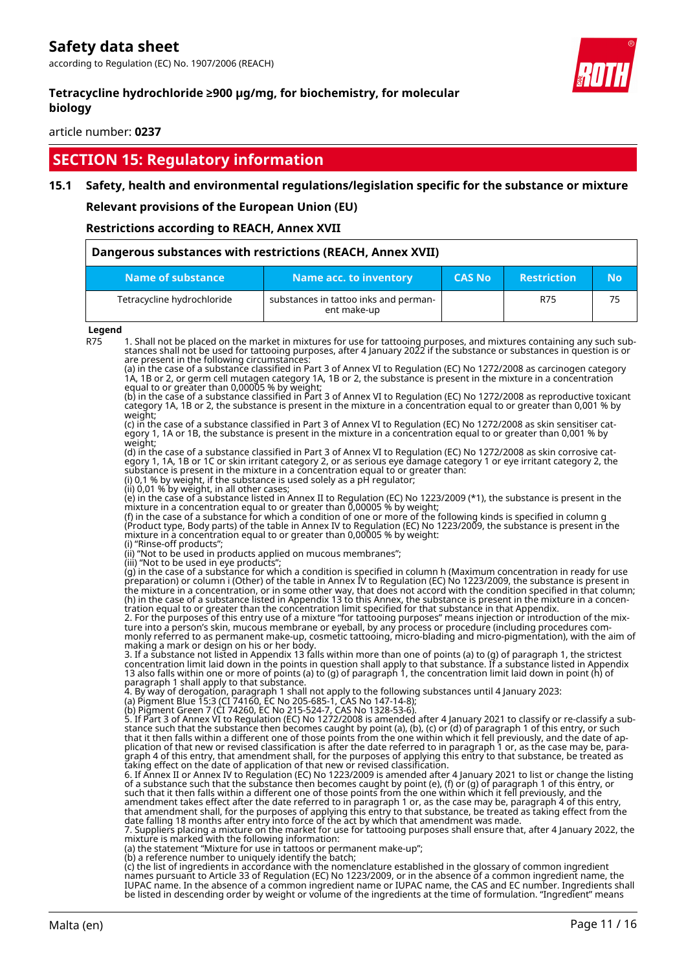according to Regulation (EC) No. 1907/2006 (REACH)



#### **Tetracycline hydrochloride ≥900 µg/mg, for biochemistry, for molecular biology**

article number: **0237**

### **SECTION 15: Regulatory information**

#### **15.1 Safety, health and environmental regulations/legislation specific for the substance or mixture**

**Relevant provisions of the European Union (EU)**

#### **Restrictions according to REACH, Annex XVII**

| Dangerous substances with restrictions (REACH, Annex XVII) |                                                      |               |                    |           |  |
|------------------------------------------------------------|------------------------------------------------------|---------------|--------------------|-----------|--|
| Name of substance                                          | Name acc. to inventory                               | <b>CAS No</b> | <b>Restriction</b> | <b>No</b> |  |
| Tetracycline hydrochloride                                 | substances in tattoo inks and perman-<br>ent make-up |               | R75                | 75        |  |

#### **Legend**

R75 1. Shall not be placed on the market in mixtures for use for tattooing purposes, and mixtures containing any such substances shall not be used for tattooing purposes, after 4 January 2022 if the substance or substances in question is or are present in the following circumstances:

(a) in the case of a substance classified in Part 3 of Annex VI to Regulation (EC) No 1272/2008 as carcinogen category 1A, 1B or 2, or germ cell mutagen category 1A, 1B or 2, the substance is present in the mixture in a concentration equal to or greater than 0,00005 % by weight;

(b) in the case of a substance classified in Part 3 of Annex VI to Regulation (EC) No 1272/2008 as reproductive toxicant category 1A, 1B or 2, the substance is present in the mixture in a concentration equal to or greater than 0,001 % by weight;<br>(c) in the case of a substance classified in Part 3 of Annex VI to Regulation (EC) No 1272/2008 as skin sensitiser cat-

(c) in the case of a substance classified in Part 3 of Annex VI to Regulation (EC) No 1272/2008 as skin sensitiser category 1, 1A or 1B, the substance is present in the mixture in a concentration equal to or greater than 0,001 % by weight;

(d) in the case of a substance classified in Part 3 of Annex VI to Regulation (EC) No 1272/2008 as skin corrosive category 1, 1A, 1B or 1C or skin irritant category 2, or as serious eye damage category 1 or eye irritant category 2, the substance is present in the mixture in a concentration equal to or greater than: (i) 0,1 % by weight, if the substance is used solely as a pH regulator;

(ii) 0,01 % by weight, in all other cases;

(e) in the case of a substance listed in Annex II to Regulation (EC) No 1223/2009 (\*1), the substance is present in the mixture in a concentration equal to or greater than 0,00005 % by weight;

(f) in the case of a substance for which a condition of one or more of the following kinds is specified in column g (Product type, Body parts) of the table in Annex IV to Regulation (EC) No 1223/2009, the substance is present in the mixture in a concentration equal to or greater than 0,00005 % by weight:

(i) "Rinse-off products"

(ii) "Not to be used in products applied on mucous membranes"; (iii) "Not to be used in eye products";

(g) in the case of a substance for which a condition is specified in column h (Maximum concentration in ready for use preparation) or column i (Other) of the table in Annex IV to Regulation (EC) No 1223/2009, the substance is present in the mixture in a concentration, or in some other way, that does not accord with the condition specified in that column; (h) in the case of a substance listed in Appendix 13 to this Annex, the substance is present in the mixture in a concentration equal to or greater than the concentration limit specified for that substance in that Appendix.

2. For the purposes of this entry use of a mixture "for tattooing purposes" means injection or introduction of the mixture into a person's skin, mucous membrane or eyeball, by any process or procedure (including procedures commonly referred to as permanent make-up, cosmetic tattooing, micro-blading and micro-pigmentation), with the aim of making a mark or design on his or her body.

3. If a substance not listed in Appendix 13 falls within more than one of points (a) to (g) of paragraph 1, the strictest concentration limit laid down in the points in question shall apply to that substance. If a substance listed in Appendix<br>13 also falls within one or more of points (a) to (g) of paragraph 1, the concentration limit laid do paragraph 1 shall apply to that substance.

4. By way of derogation, paragraph 1 shall not apply to the following substances until 4 January 2023:

| (a) Pigment Blue 15:3 (CI 74160, EC No 205-685-1, CAS No 147-14-8); |
|---------------------------------------------------------------------|
| (b) Diamont Cross 7 (CI 74260 FC No. 215 F24.7 CAC No. 1220 F2.6)   |

(b) Pigment Green 7 (CI 74260, EC No 215-524-7, CAS No 1328-53-6). 5. If Part 3 of Annex VI to Regulation (EC) No 1272/2008 is amended after 4 January 2021 to classify or re-classify a substance such that the substance then becomes caught by point (a), (b), (c) or (d) of paragraph 1 of this entry, or such that it then falls within a different one of those points from the one within which it fell previously, and the date of application of that new or revised classification is after the date referred to in paragraph 1 or, as the case may be, paragraph 4 of this entry, that amendment shall, for the purposes of applying this entry to that substance, be treated as taking effect on the date of application of that new or revised classification.

6. If Annex II or Annex IV to Regulation (EC) No 1223/2009 is amended after 4 January 2021 to list or change the listing of a substance such that the substance then becomes caught by point (e), (f) or (g) of paragraph 1 of this entry, or such that it then falls within a different one of those points from the one within which it fell previously, and the amendment takes effect after the date referred to in paragraph 1 or, as the case may be, paragraph 4 of this entry, that amendment shall, for the purposes of applying this entry to that substance, be treated as taking effect from the date falling 18 months after entry into force of the act by which that amendment was made.

7. Suppliers placing a mixture on the market for use for tattooing purposes shall ensure that, after 4 January 2022, the mixture is marked with the following information:

(a) the statement "Mixture for use in tattoos or permanent make-up";

(b) a reference number to uniquely identify the batch; (c) the list of ingredients in accordance with the nomenclature established in the glossary of common ingredient names pursuant to Article 33 of Regulation (EC) No 1223/2009, or in the absence of a common ingredient name, the IUPAC name. In the absence of a common ingredient name or IUPAC name, the CAS and EC number. Ingredients shall be listed in descending order by weight or volume of the ingredients at the time of formulation. "Ingredient" means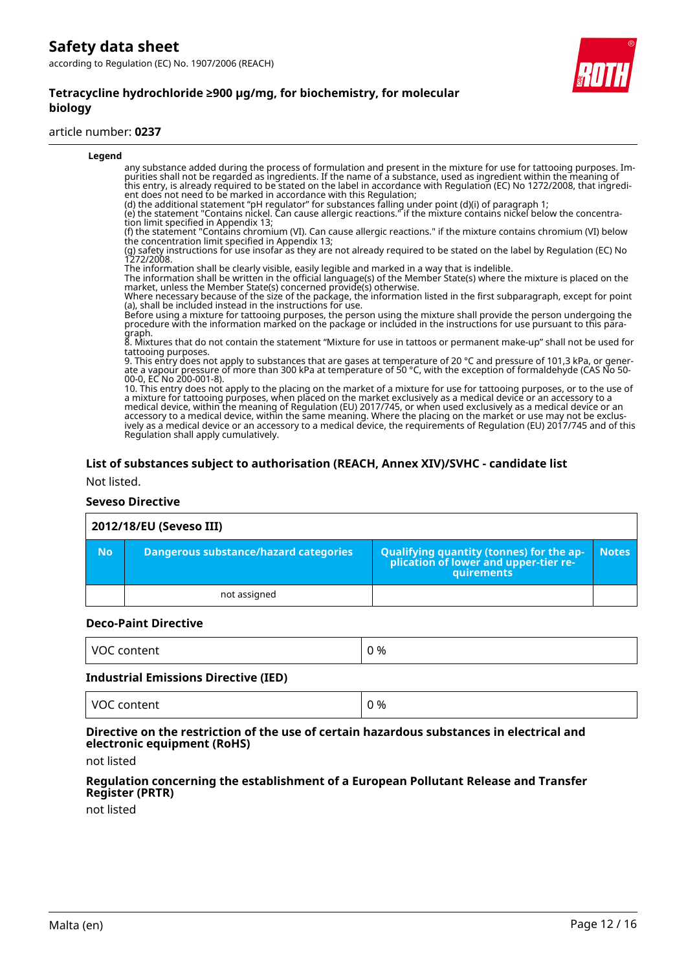#### **Tetracycline hydrochloride ≥900 µg/mg, for biochemistry, for molecular biology**

#### article number: **0237**

| Legend                                                                                                                                                                                                                                                                                                                                                                                                                                                                                                                                                                                                                                                     |  |
|------------------------------------------------------------------------------------------------------------------------------------------------------------------------------------------------------------------------------------------------------------------------------------------------------------------------------------------------------------------------------------------------------------------------------------------------------------------------------------------------------------------------------------------------------------------------------------------------------------------------------------------------------------|--|
| any substance added during the process of formulation and present in the mixture for use for tattooing purposes. Im-<br>purities shall not be regarded as ingredients. If the name of a substance, used as ingredient within the meaning of<br>this entry, is already required to be stated on the label in accordance with Regulation (EC) No 1272/2008, that ingredi-<br>ent does not need to be marked in accordance with this Regulation;                                                                                                                                                                                                              |  |
| (d) the additional statement "pH regulator" for substances falling under point (d)(i) of paragraph 1;<br>(e) the statement "Contains nickel. Can cause allergic reactions." if the mixture contains nickel below the concentra-<br>tion limit specified in Appendix 13;                                                                                                                                                                                                                                                                                                                                                                                    |  |
| (f) the statement "Contains chromium (VI). Can cause allergic reactions." if the mixture contains chromium (VI) below<br>the concentration limit specified in Appendix 13;                                                                                                                                                                                                                                                                                                                                                                                                                                                                                 |  |
| (g) safety instructions for use insofar as they are not already required to be stated on the label by Regulation (EC) No<br>1272/2008.                                                                                                                                                                                                                                                                                                                                                                                                                                                                                                                     |  |
| The information shall be clearly visible, easily legible and marked in a way that is indelible.<br>The information shall be written in the official language(s) of the Member State(s) where the mixture is placed on the<br>market, unless the Member State(s) concerned provide(s) otherwise.                                                                                                                                                                                                                                                                                                                                                            |  |
| Where necessary because of the size of the package, the information listed in the first subparagraph, except for point<br>(a), shall be included instead in the instructions for use.                                                                                                                                                                                                                                                                                                                                                                                                                                                                      |  |
| Before using a mixture for tattooing purposes, the person using the mixture shall provide the person undergoing the<br>procedure with the information marked on the package or included in the instructions for use pursuant to t<br>graph.                                                                                                                                                                                                                                                                                                                                                                                                                |  |
| 8. Mixtures that do not contain the statement "Mixture for use in tattoos or permanent make-up" shall not be used for<br>tattooing purposes.                                                                                                                                                                                                                                                                                                                                                                                                                                                                                                               |  |
| 9. This entry does not apply to substances that are gases at temperature of 20 $^{\circ}$ C and pressure of 101,3 kPa, or gener-<br>ate a vapour pressure of more than 300 kPa at temperature of 50 °C, with the exception of formaldehyde (CAS No 50-<br>00-0, EC No 200-001-8).                                                                                                                                                                                                                                                                                                                                                                          |  |
| 10. This entry does not apply to the placing on the market of a mixture for use for tattooing purposes, or to the use of<br>a mixture for tattooing purposes, when placed on the market exclusively as a medical device or an accessory to a<br>medical device, within the meaning of Regulation (EU) 2017/745, or when used exclusively as a medical device or an<br>accessory to a medical device, within the same meaning. Where the placing on the market or use may not be exclus-<br>ively as a medical device or an accessory to a medical device, the requirements of Regulation (EU) 2017/745 and of this<br>Regulation shall apply cumulatively. |  |
|                                                                                                                                                                                                                                                                                                                                                                                                                                                                                                                                                                                                                                                            |  |

#### **List of substances subject to authorisation (REACH, Annex XIV)/SVHC - candidate list**

Not listed.

#### **Seveso Directive**

#### **2012/18/EU (Seveso III) No Dangerous substance/hazard categories Qualifying quantity (tonnes) for the application of lower and upper-tier requirements Notes** not assigned

#### **Deco-Paint Directive**

| L VOC<br>content | 0 % |
|------------------|-----|
|------------------|-----|

#### **Industrial Emissions Directive (IED)**

| $\cdot$<br>%<br>$\mathcal{U}$<br>ĸ<br>iterit |
|----------------------------------------------|
|----------------------------------------------|

#### **Directive on the restriction of the use of certain hazardous substances in electrical and electronic equipment (RoHS)**

not listed

#### **Regulation concerning the establishment of a European Pollutant Release and Transfer Register (PRTR)**

not listed

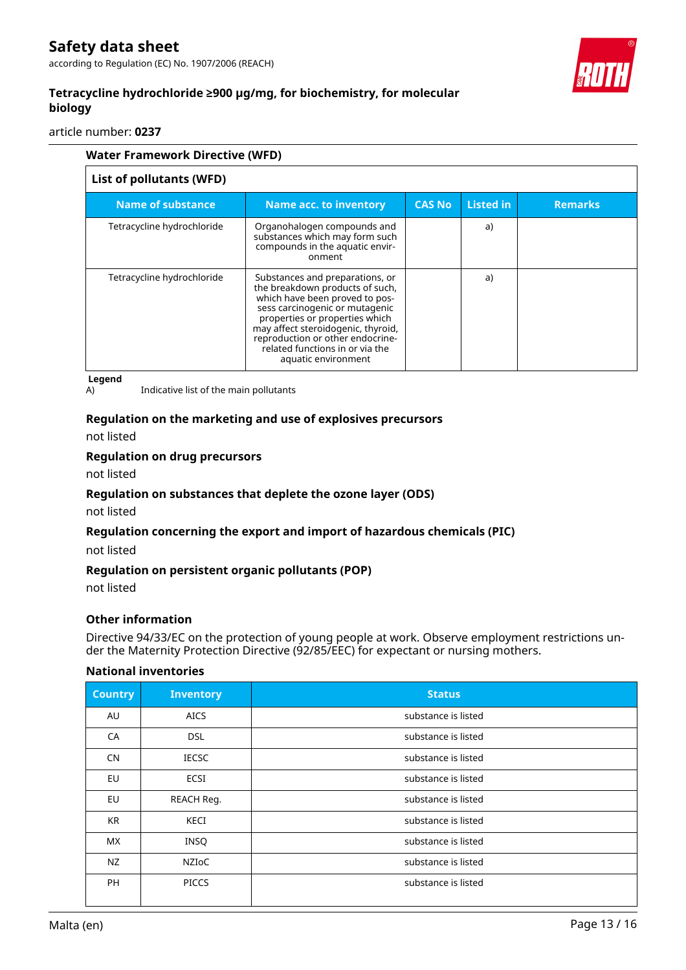according to Regulation (EC) No. 1907/2006 (REACH)



### **Tetracycline hydrochloride ≥900 µg/mg, for biochemistry, for molecular biology**

article number: **0237**

| <b>Water Framework Directive (WFD)</b> |                                                                                                                                                                                                                                                                                                              |               |                  |                |
|----------------------------------------|--------------------------------------------------------------------------------------------------------------------------------------------------------------------------------------------------------------------------------------------------------------------------------------------------------------|---------------|------------------|----------------|
| List of pollutants (WFD)               |                                                                                                                                                                                                                                                                                                              |               |                  |                |
| <b>Name of substance</b>               | Name acc. to inventory                                                                                                                                                                                                                                                                                       | <b>CAS No</b> | <b>Listed in</b> | <b>Remarks</b> |
| Tetracycline hydrochloride             | Organohalogen compounds and<br>substances which may form such<br>compounds in the aquatic envir-<br>onment                                                                                                                                                                                                   |               | a)               |                |
| Tetracycline hydrochloride             | Substances and preparations, or<br>the breakdown products of such,<br>which have been proved to pos-<br>sess carcinogenic or mutagenic<br>properties or properties which<br>may affect steroidogenic, thyroid,<br>reproduction or other endocrine-<br>related functions in or via the<br>aquatic environment |               | a)               |                |

**Legend**

A) Indicative list of the main pollutants

#### **Regulation on the marketing and use of explosives precursors**

not listed

#### **Regulation on drug precursors**

not listed

#### **Regulation on substances that deplete the ozone layer (ODS)**

not listed

#### **Regulation concerning the export and import of hazardous chemicals (PIC)**

not listed

#### **Regulation on persistent organic pollutants (POP)**

not listed

#### **Other information**

Directive 94/33/EC on the protection of young people at work. Observe employment restrictions under the Maternity Protection Directive (92/85/EEC) for expectant or nursing mothers.

#### **National inventories**

| <b>Country</b> | <b>Inventory</b> | <b>Status</b>       |
|----------------|------------------|---------------------|
| AU             | <b>AICS</b>      | substance is listed |
| CA             | <b>DSL</b>       | substance is listed |
| CN             | <b>IECSC</b>     | substance is listed |
| EU             | ECSI             | substance is listed |
| EU             | REACH Reg.       | substance is listed |
| <b>KR</b>      | KECI             | substance is listed |
| <b>MX</b>      | <b>INSQ</b>      | substance is listed |
| NZ             | NZIoC            | substance is listed |
| <b>PH</b>      | <b>PICCS</b>     | substance is listed |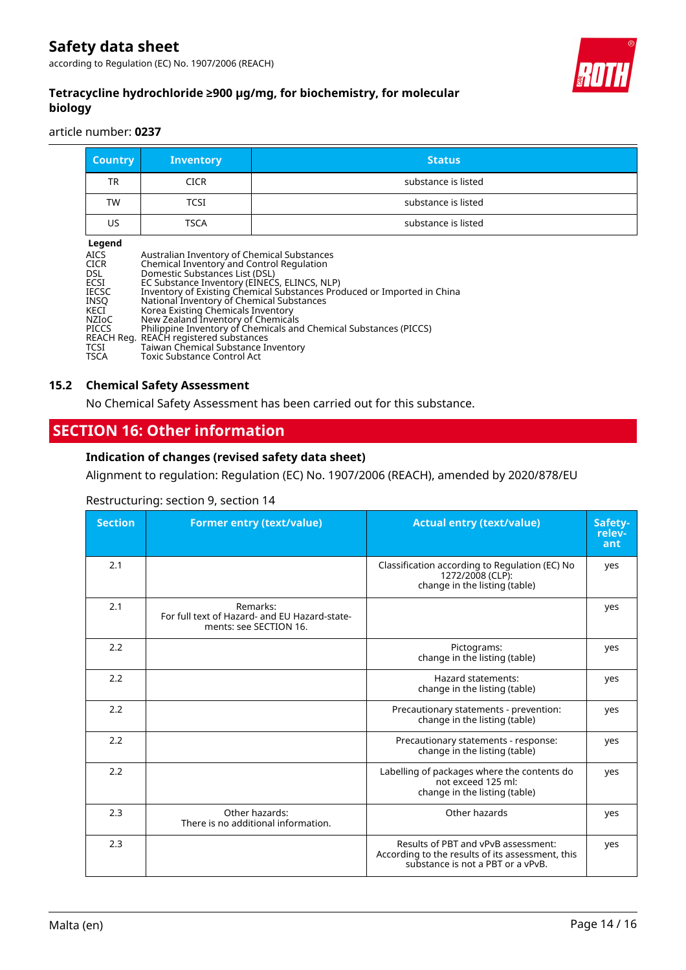according to Regulation (EC) No. 1907/2006 (REACH)



### **Tetracycline hydrochloride ≥900 µg/mg, for biochemistry, for molecular biology**

article number: **0237**

| <b>Country</b>                                                                                                                                     | <b>Inventory</b>                                                                                                                                                                                                                                                                                                                                                                                                    | <b>Status</b>                                                                                                                                |
|----------------------------------------------------------------------------------------------------------------------------------------------------|---------------------------------------------------------------------------------------------------------------------------------------------------------------------------------------------------------------------------------------------------------------------------------------------------------------------------------------------------------------------------------------------------------------------|----------------------------------------------------------------------------------------------------------------------------------------------|
| TR                                                                                                                                                 | <b>CICR</b>                                                                                                                                                                                                                                                                                                                                                                                                         | substance is listed                                                                                                                          |
| TW                                                                                                                                                 | TCSI                                                                                                                                                                                                                                                                                                                                                                                                                | substance is listed                                                                                                                          |
| US                                                                                                                                                 | TSCA                                                                                                                                                                                                                                                                                                                                                                                                                | substance is listed                                                                                                                          |
| Legend<br><b>AICS</b><br><b>CICR</b><br>DSL.<br>ECSI<br><b>IECSC</b><br><b>INSO</b><br>KECI<br>NZIoC<br><b>PICCS</b><br><b>TCSI</b><br><b>TSCA</b> | Australian Inventory of Chemical Substances<br>Chemical Inventory and Control Regulation<br>Domestic Substances List (DSL)<br>EC Substance Inventory (EINECS, ELINCS, NLP)<br>National Inventory of Chemical Substances<br>Korea Existing Chemicals Inventory<br>New Zealand Inventory of Chemicals<br>REACH Reg. REACH registered substances<br>Taiwan Chemical Substance Inventory<br>Toxic Substance Control Act | Inventory of Existing Chemical Substances Produced or Imported in China<br>Philippine Inventory of Chemicals and Chemical Substances (PICCS) |

#### **15.2 Chemical Safety Assessment**

No Chemical Safety Assessment has been carried out for this substance.

### **SECTION 16: Other information**

#### **Indication of changes (revised safety data sheet)**

Alignment to regulation: Regulation (EC) No. 1907/2006 (REACH), amended by 2020/878/EU

#### Restructuring: section 9, section 14

| <b>Section</b> | <b>Former entry (text/value)</b>                                                    | <b>Actual entry (text/value)</b>                                                                                             | Safety-<br>relev-<br>ant |
|----------------|-------------------------------------------------------------------------------------|------------------------------------------------------------------------------------------------------------------------------|--------------------------|
| 2.1            |                                                                                     | Classification according to Regulation (EC) No<br>1272/2008 (CLP):<br>change in the listing (table)                          | yes                      |
| 2.1            | Remarks:<br>For full text of Hazard- and EU Hazard-state-<br>ments: see SECTION 16. |                                                                                                                              | yes                      |
| 2.2            |                                                                                     | Pictograms:<br>change in the listing (table)                                                                                 | yes                      |
| 2.2            |                                                                                     | Hazard statements:<br>change in the listing (table)                                                                          | yes                      |
| 2.2            |                                                                                     | Precautionary statements - prevention:<br>change in the listing (table)                                                      | yes                      |
| 2.2            |                                                                                     | Precautionary statements - response:<br>change in the listing (table)                                                        | yes                      |
| 2.2            |                                                                                     | Labelling of packages where the contents do<br>not exceed 125 ml:<br>change in the listing (table)                           | yes                      |
| 2.3            | Other hazards:<br>There is no additional information.                               | Other hazards                                                                                                                | yes                      |
| 2.3            |                                                                                     | Results of PBT and vPvB assessment:<br>According to the results of its assessment, this<br>substance is not a PBT or a vPvB. | yes                      |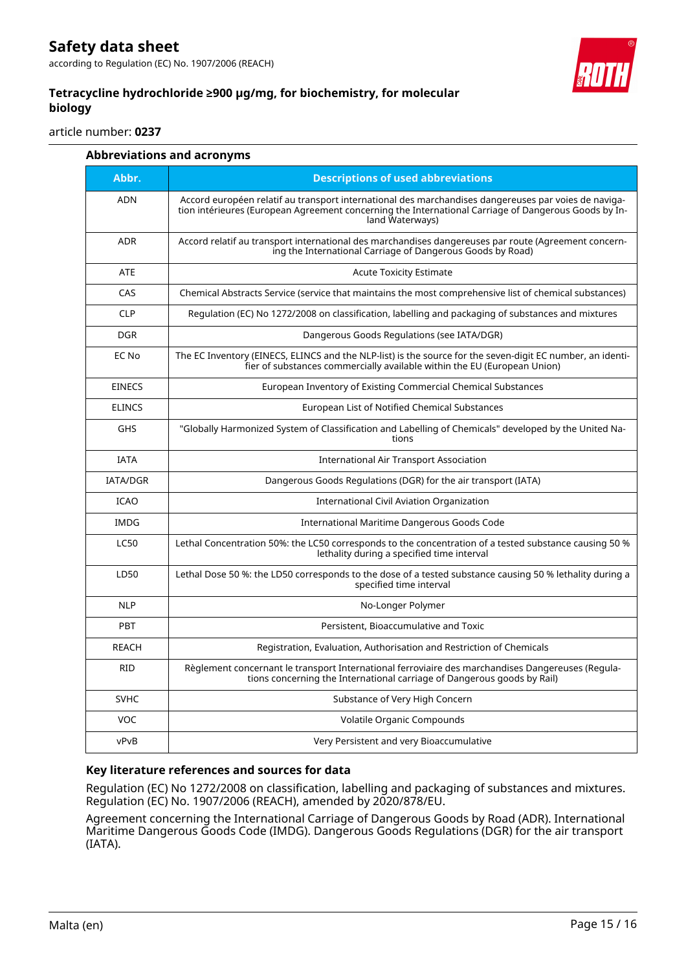



article number: **0237**

| <b>Abbreviations and acronyms</b> |                                                                                                                                                                                                                                 |  |
|-----------------------------------|---------------------------------------------------------------------------------------------------------------------------------------------------------------------------------------------------------------------------------|--|
| Abbr.                             | <b>Descriptions of used abbreviations</b>                                                                                                                                                                                       |  |
| <b>ADN</b>                        | Accord européen relatif au transport international des marchandises dangereuses par voies de naviga-<br>tion intérieures (European Agreement concerning the International Carriage of Dangerous Goods by In-<br>land Waterways) |  |
| <b>ADR</b>                        | Accord relatif au transport international des marchandises dangereuses par route (Agreement concern-<br>ing the International Carriage of Dangerous Goods by Road)                                                              |  |
| <b>ATE</b>                        | <b>Acute Toxicity Estimate</b>                                                                                                                                                                                                  |  |
| CAS                               | Chemical Abstracts Service (service that maintains the most comprehensive list of chemical substances)                                                                                                                          |  |
| <b>CLP</b>                        | Regulation (EC) No 1272/2008 on classification, labelling and packaging of substances and mixtures                                                                                                                              |  |
| <b>DGR</b>                        | Dangerous Goods Regulations (see IATA/DGR)                                                                                                                                                                                      |  |
| EC No                             | The EC Inventory (EINECS, ELINCS and the NLP-list) is the source for the seven-digit EC number, an identi-<br>fier of substances commercially available within the EU (European Union)                                          |  |
| <b>EINECS</b>                     | European Inventory of Existing Commercial Chemical Substances                                                                                                                                                                   |  |
| <b>ELINCS</b>                     | European List of Notified Chemical Substances                                                                                                                                                                                   |  |
| <b>GHS</b>                        | "Globally Harmonized System of Classification and Labelling of Chemicals" developed by the United Na-<br>tions                                                                                                                  |  |
| <b>IATA</b>                       | <b>International Air Transport Association</b>                                                                                                                                                                                  |  |
| IATA/DGR                          | Dangerous Goods Regulations (DGR) for the air transport (IATA)                                                                                                                                                                  |  |
| <b>ICAO</b>                       | <b>International Civil Aviation Organization</b>                                                                                                                                                                                |  |
| <b>IMDG</b>                       | International Maritime Dangerous Goods Code                                                                                                                                                                                     |  |
| <b>LC50</b>                       | Lethal Concentration 50%: the LC50 corresponds to the concentration of a tested substance causing 50 %<br>lethality during a specified time interval                                                                            |  |
| LD50                              | Lethal Dose 50 %: the LD50 corresponds to the dose of a tested substance causing 50 % lethality during a<br>specified time interval                                                                                             |  |
| <b>NLP</b>                        | No-Longer Polymer                                                                                                                                                                                                               |  |
| <b>PBT</b>                        | Persistent, Bioaccumulative and Toxic                                                                                                                                                                                           |  |
| <b>REACH</b>                      | Registration, Evaluation, Authorisation and Restriction of Chemicals                                                                                                                                                            |  |
| <b>RID</b>                        | Règlement concernant le transport International ferroviaire des marchandises Dangereuses (Regula-<br>tions concerning the International carriage of Dangerous goods by Rail)                                                    |  |
| <b>SVHC</b>                       | Substance of Very High Concern                                                                                                                                                                                                  |  |
| <b>VOC</b>                        | Volatile Organic Compounds                                                                                                                                                                                                      |  |
| vPvB                              | Very Persistent and very Bioaccumulative                                                                                                                                                                                        |  |

#### **Key literature references and sources for data**

Regulation (EC) No 1272/2008 on classification, labelling and packaging of substances and mixtures. Regulation (EC) No. 1907/2006 (REACH), amended by 2020/878/EU.

Agreement concerning the International Carriage of Dangerous Goods by Road (ADR). International Maritime Dangerous Goods Code (IMDG). Dangerous Goods Regulations (DGR) for the air transport (IATA).